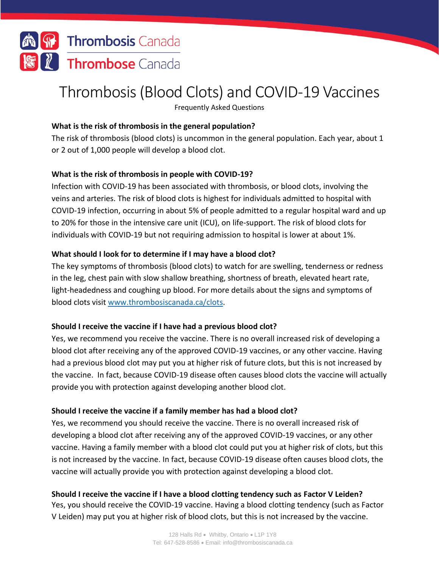

# Thrombosis (Blood Clots) and COVID-19 Vaccines

Frequently Asked Questions

### **What is the risk of thrombosis in the general population?**

The risk of thrombosis (blood clots) is uncommon in the general population. Each year, about 1 or 2 out of 1,000 people will develop a blood clot.

## **What is the risk of thrombosis in people with COVID-19?**

Infection with COVID-19 has been associated with thrombosis, or blood clots, involving the veins and arteries. The risk of blood clots is highest for individuals admitted to hospital with COVID-19 infection, occurring in about 5% of people admitted to a regular hospital ward and up to 20% for those in the intensive care unit (ICU), on life-support. The risk of blood clots for individuals with COVID-19 but not requiring admission to hospital is lower at about 1%.

### **What should I look for to determine if I may have a blood clot?**

The key symptoms of thrombosis (blood clots) to watch for are swelling, tenderness or redness in the leg, chest pain with slow shallow breathing, shortness of breath, elevated heart rate, light-headedness and coughing up blood. For more details about the signs and symptoms of blood clots visit [www.thrombosiscanada.ca/clots.](http://www.thrombosiscanada.ca/clots)

#### **Should I receive the vaccine if I have had a previous blood clot?**

Yes, we recommend you receive the vaccine. There is no overall increased risk of developing a blood clot after receiving any of the approved COVID-19 vaccines, or any other vaccine. Having had a previous blood clot may put you at higher risk of future clots, but this is not increased by the vaccine. In fact, because COVID-19 disease often causes blood clots the vaccine will actually provide you with protection against developing another blood clot.

#### **Should I receive the vaccine if a family member has had a blood clot?**

Yes, we recommend you should receive the vaccine. There is no overall increased risk of developing a blood clot after receiving any of the approved COVID-19 vaccines, or any other vaccine. Having a family member with a blood clot could put you at higher risk of clots, but this is not increased by the vaccine. In fact, because COVID-19 disease often causes blood clots, the vaccine will actually provide you with protection against developing a blood clot.

## **Should I receive the vaccine if I have a blood clotting tendency such as Factor V Leiden?**

Yes, you should receive the COVID-19 vaccine. Having a blood clotting tendency (such as Factor V Leiden) may put you at higher risk of blood clots, but this is not increased by the vaccine.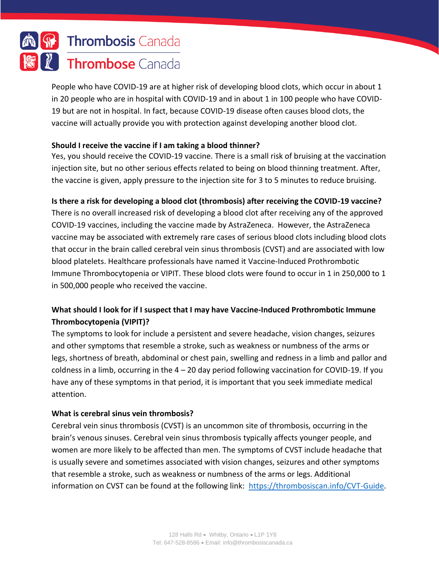

People who have COVID-19 are at higher risk of developing blood clots, which occur in about 1 in 20 people who are in hospital with COVID-19 and in about 1 in 100 people who have COVID-19 but are not in hospital. In fact, because COVID-19 disease often causes blood clots, the vaccine will actually provide you with protection against developing another blood clot.

### **Should I receive the vaccine if I am taking a blood thinner?**

Yes, you should receive the COVID-19 vaccine. There is a small risk of bruising at the vaccination injection site, but no other serious effects related to being on blood thinning treatment. After, the vaccine is given, apply pressure to the injection site for 3 to 5 minutes to reduce bruising.

### **Is there a risk for developing a blood clot (thrombosis) after receiving the COVID-19 vaccine?**

There is no overall increased risk of developing a blood clot after receiving any of the approved COVID-19 vaccines, including the vaccine made by AstraZeneca. However, the AstraZeneca vaccine may be associated with extremely rare cases of serious blood clots including blood clots that occur in the brain called cerebral vein sinus thrombosis (CVST) and are associated with low blood platelets. Healthcare professionals have named it Vaccine-Induced Prothrombotic Immune Thrombocytopenia or VIPIT. These blood clots were found to occur in 1 in 250,000 to 1 in 500,000 people who received the vaccine.

## **What should I look for if I suspect that I may have Vaccine-Induced Prothrombotic Immune Thrombocytopenia (VIPIT)?**

The symptoms to look for include a persistent and severe headache, vision changes, seizures and other symptoms that resemble a stroke, such as weakness or numbness of the arms or legs, shortness of breath, abdominal or chest pain, swelling and redness in a limb and pallor and coldness in a limb, occurring in the  $4 - 20$  day period following vaccination for COVID-19. If you have any of these symptoms in that period, it is important that you seek immediate medical attention.

#### **What is cerebral sinus vein thrombosis?**

Cerebral vein sinus thrombosis (CVST) is an uncommon site of thrombosis, occurring in the brain's venous sinuses. Cerebral vein sinus thrombosis typically affects younger people, and women are more likely to be affected than men. The symptoms of CVST include headache that is usually severe and sometimes associated with vision changes, seizures and other symptoms that resemble a stroke, such as weakness or numbness of the arms or legs. Additional information on CVST can be found at the following link: [https://thrombosiscan.info/CVT-Guide.](https://thrombosiscan.info/CVT-Guide)